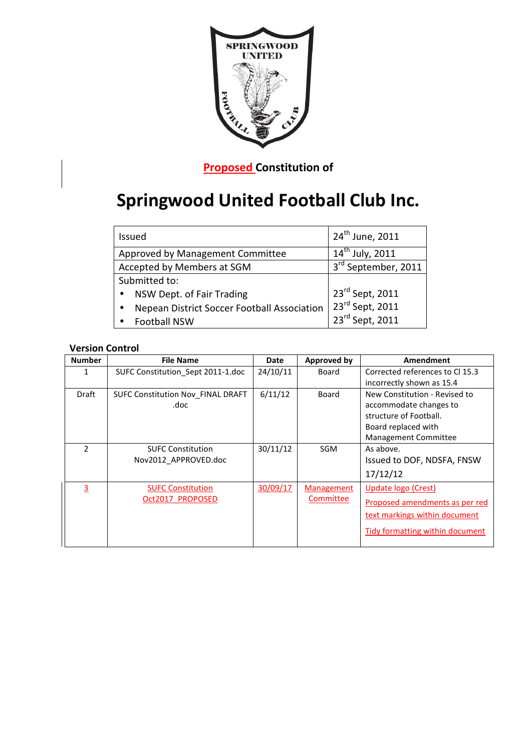

**Proposed Constitution of** 

# **Springwood United Football Club Inc.**

| <b>Issued</b>                               | 24 <sup>th</sup> June, 2011                                |  |
|---------------------------------------------|------------------------------------------------------------|--|
| Approved by Management Committee            | $14^{th}$ July, 2011                                       |  |
| Accepted by Members at SGM                  | 3rd September, 2011                                        |  |
| Submitted to:                               |                                                            |  |
| NSW Dept. of Fair Trading                   | $23^{\text{rd}}$ Sept, 2011<br>$23^{\text{rd}}$ Sept, 2011 |  |
| Nepean District Soccer Football Association |                                                            |  |
| <b>Football NSW</b>                         | $23^{rd}$ Sept, 2011                                       |  |

# **Version Control**

| <b>Number</b>  | <b>File Name</b>                  | Date     | Approved by       | Amendment                                                    |  |
|----------------|-----------------------------------|----------|-------------------|--------------------------------------------------------------|--|
| 1              | SUFC Constitution Sept 2011-1.doc | 24/10/11 | Board             | Corrected references to Cl 15.3<br>incorrectly shown as 15.4 |  |
|                |                                   |          |                   |                                                              |  |
| Draft          | SUFC Constitution Nov FINAL DRAFT | 6/11/12  | <b>Board</b>      | New Constitution - Revised to<br>accommodate changes to      |  |
|                | .doc                              |          |                   |                                                              |  |
|                |                                   |          |                   | structure of Football.                                       |  |
|                |                                   |          |                   | Board replaced with                                          |  |
|                |                                   |          |                   | Management Committee                                         |  |
| $\mathfrak{p}$ | <b>SUFC Constitution</b>          | 30/11/12 | <b>SGM</b>        | As above.                                                    |  |
|                | Nov2012 APPROVED.doc              |          |                   | Issued to DOF, NDSFA, FNSW                                   |  |
|                |                                   |          |                   | 17/12/12                                                     |  |
| 3              | <b>SUFC Constitution</b>          | 30/09/17 | <b>Management</b> | Update logo (Crest)                                          |  |
|                | Oct2017 PROPOSED                  |          | Committee         | Proposed amendments as per red                               |  |
|                |                                   |          |                   | text markings within document                                |  |
|                |                                   |          |                   | Tidy formatting within document                              |  |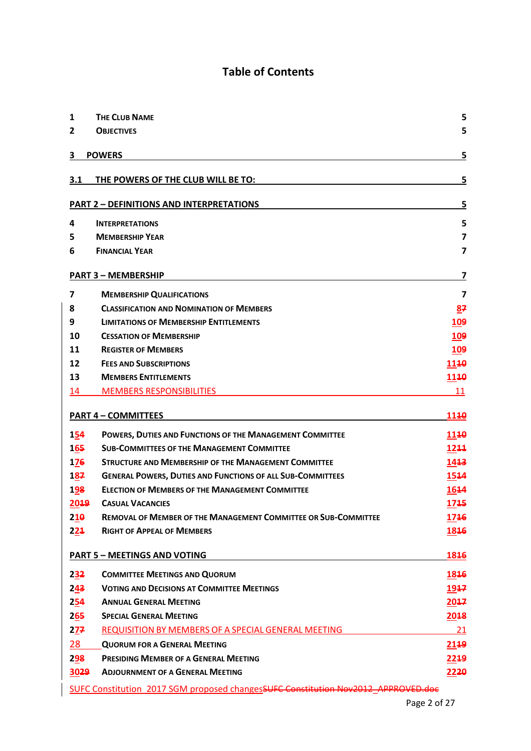# **Table of Contents**

| 1                                           | <b>THE CLUB NAME</b>                                                              | 5                       |  |  |
|---------------------------------------------|-----------------------------------------------------------------------------------|-------------------------|--|--|
| 2                                           | <b>OBJECTIVES</b>                                                                 | 5                       |  |  |
| 3                                           | <b>POWERS</b>                                                                     | 5                       |  |  |
| 3.1                                         | THE POWERS OF THE CLUB WILL BE TO:                                                | 5                       |  |  |
|                                             | <b>PART 2 - DEFINITIONS AND INTERPRETATIONS</b>                                   | 5                       |  |  |
| 4                                           | <b>INTERPRETATIONS</b>                                                            | 5                       |  |  |
| 5                                           | <b>MEMBERSHIP YEAR</b>                                                            | $\overline{\mathbf{z}}$ |  |  |
| 6                                           | <b>FINANCIAL YEAR</b>                                                             | $\overline{\mathbf{z}}$ |  |  |
|                                             | <b>PART 3 - MEMBERSHIP</b>                                                        | 7                       |  |  |
| 7                                           | <b>MEMBERSHIP QUALIFICATIONS</b>                                                  | $\overline{ }$          |  |  |
| 8                                           | <b>CLASSIFICATION AND NOMINATION OF MEMBERS</b>                                   | 87                      |  |  |
| 9                                           | <b>LIMITATIONS OF MEMBERSHIP ENTITLEMENTS</b>                                     | 109                     |  |  |
| 10                                          | <b>CESSATION OF MEMBERSHIP</b>                                                    | <b>109</b>              |  |  |
| 11                                          | <b>REGISTER OF MEMBERS</b>                                                        | 109                     |  |  |
| 12                                          | <b>FEES AND SUBSCRIPTIONS</b>                                                     | 1140                    |  |  |
| 13                                          | <b>MEMBERS ENTITLEMENTS</b>                                                       | 1140                    |  |  |
| 14                                          | <b>MEMBERS RESPONSIBILITIES</b>                                                   | 11                      |  |  |
|                                             | <b>PART 4 - COMMITTEES</b>                                                        | 1140                    |  |  |
| 154                                         | POWERS, DUTIES AND FUNCTIONS OF THE MANAGEMENT COMMITTEE                          | 1110                    |  |  |
| 165                                         | <b>SUB-COMMITTEES OF THE MANAGEMENT COMMITTEE</b>                                 | 1244                    |  |  |
| 176                                         | <b>STRUCTURE AND MEMBERSHIP OF THE MANAGEMENT COMMITTEE</b>                       | 1413                    |  |  |
| 187                                         | <b>GENERAL POWERS, DUTIES AND FUNCTIONS OF ALL SUB-COMMITTEES</b>                 | 1544                    |  |  |
| 198                                         | <b>ELECTION OF MEMBERS OF THE MANAGEMENT COMMITTEE</b>                            | 1644                    |  |  |
| 2019                                        | <b>CASUAL VACANCIES</b>                                                           | 1745                    |  |  |
| 210                                         | <b>REMOVAL OF MEMBER OF THE MANAGEMENT COMMITTEE OR SUB-COMMITTEE</b>             | 1746                    |  |  |
| 221                                         | <b>RIGHT OF APPEAL OF MEMBERS</b>                                                 | 1846                    |  |  |
| <b>PART 5 - MEETINGS AND VOTING</b><br>1846 |                                                                                   |                         |  |  |
| 232                                         | <b>COMMITTEE MEETINGS AND QUORUM</b>                                              | 1846                    |  |  |
| 243                                         | <b>VOTING AND DECISIONS AT COMMITTEE MEETINGS</b>                                 | 1947                    |  |  |
| 254                                         | <b>ANNUAL GENERAL MEETING</b>                                                     | 2017                    |  |  |
| 265                                         | <b>SPECIAL GENERAL MEETING</b>                                                    | 2018                    |  |  |
| 277                                         | <b>REQUISITION BY MEMBERS OF A SPECIAL GENERAL MEETING</b>                        | 21                      |  |  |
| 28                                          | <b>QUORUM FOR A GENERAL MEETING</b>                                               | 2149                    |  |  |
| 298                                         | PRESIDING MEMBER OF A GENERAL MEETING                                             | 2249                    |  |  |
| 3029                                        | <b>ADJOURNMENT OF A GENERAL MEETING</b>                                           | 2220                    |  |  |
|                                             | SUFC Constitution 2017 SGM proposed changesSUFC Constitution Nov2012 APPROVED.doc |                         |  |  |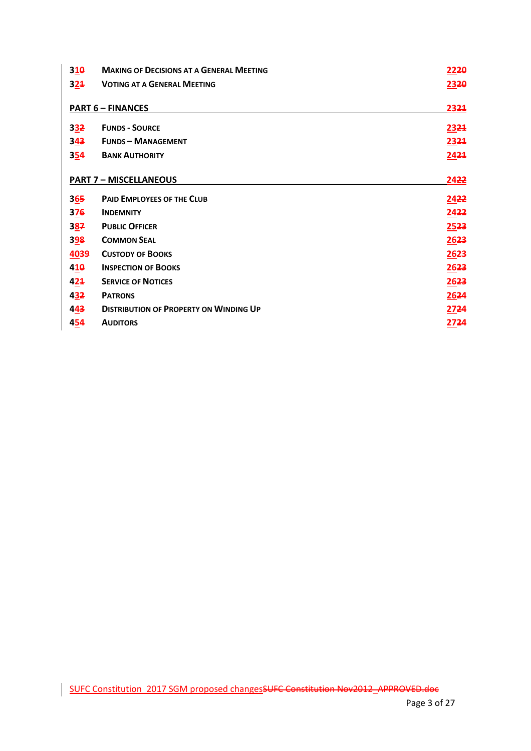| 310                           | <b>MAKING OF DECISIONS AT A GENERAL MEETING</b> | 2220 |
|-------------------------------|-------------------------------------------------|------|
| 321                           | <b>VOTING AT A GENERAL MEETING</b>              | 2320 |
|                               |                                                 |      |
|                               | <b>PART 6 - FINANCES</b>                        | 2321 |
| 332                           | <b>FUNDS - SOURCE</b>                           | 2321 |
| 343                           | <b>FUNDS - MANAGEMENT</b>                       | 2321 |
| 354                           | <b>BANK AUTHORITY</b>                           | 2421 |
|                               |                                                 |      |
|                               | <b>PART 7 - MISCELLANEOUS</b>                   | 2422 |
| 365                           | <b>PAID EMPLOYEES OF THE CLUB</b>               | 2422 |
| 376                           | <b>INDEMNITY</b>                                | 2422 |
| 3 <u>8</u> 7                  | <b>PUBLIC OFFICER</b>                           | 2523 |
| 398                           | <b>COMMON SEAL</b>                              | 2623 |
| 4039                          | <b>CUSTODY OF BOOKS</b>                         | 2623 |
| $4\underline{1}\underline{0}$ | <b>INSPECTION OF BOOKS</b>                      | 2623 |
| 424                           | <b>SERVICE OF NOTICES</b>                       | 2623 |
| 432                           | <b>PATRONS</b>                                  | 2624 |
| 443                           | <b>DISTRIBUTION OF PROPERTY ON WINDING UP</b>   | 2724 |
| 454                           | <b>AUDITORS</b>                                 | 2724 |

 $\overline{\phantom{a}}$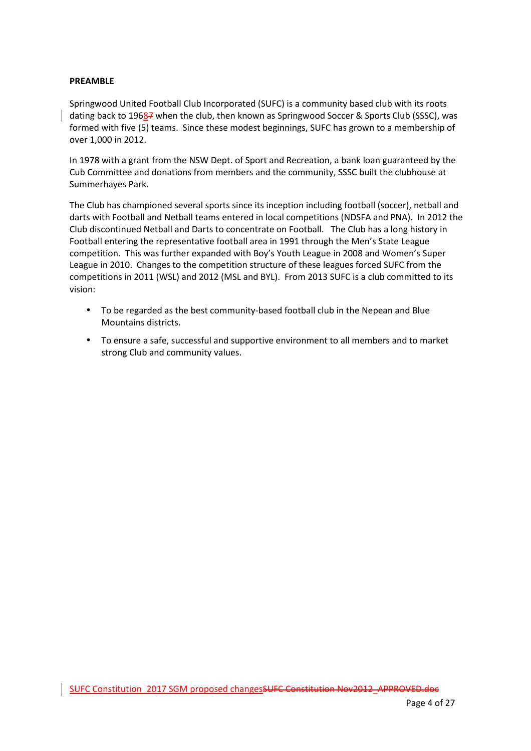#### **PREAMBLE**

Springwood United Football Club Incorporated (SUFC) is a community based club with its roots dating back to 19687 when the club, then known as Springwood Soccer & Sports Club (SSSC), was formed with five (5) teams. Since these modest beginnings, SUFC has grown to a membership of over 1,000 in 2012.

In 1978 with a grant from the NSW Dept. of Sport and Recreation, a bank loan guaranteed by the Cub Committee and donations from members and the community, SSSC built the clubhouse at Summerhayes Park.

The Club has championed several sports since its inception including football (soccer), netball and darts with Football and Netball teams entered in local competitions (NDSFA and PNA). In 2012 the Club discontinued Netball and Darts to concentrate on Football. The Club has a long history in Football entering the representative football area in 1991 through the Men's State League competition. This was further expanded with Boy's Youth League in 2008 and Women's Super League in 2010. Changes to the competition structure of these leagues forced SUFC from the competitions in 2011 (WSL) and 2012 (MSL and BYL). From 2013 SUFC is a club committed to its vision:

- To be regarded as the best community-based football club in the Nepean and Blue Mountains districts.
- To ensure a safe, successful and supportive environment to all members and to market strong Club and community values.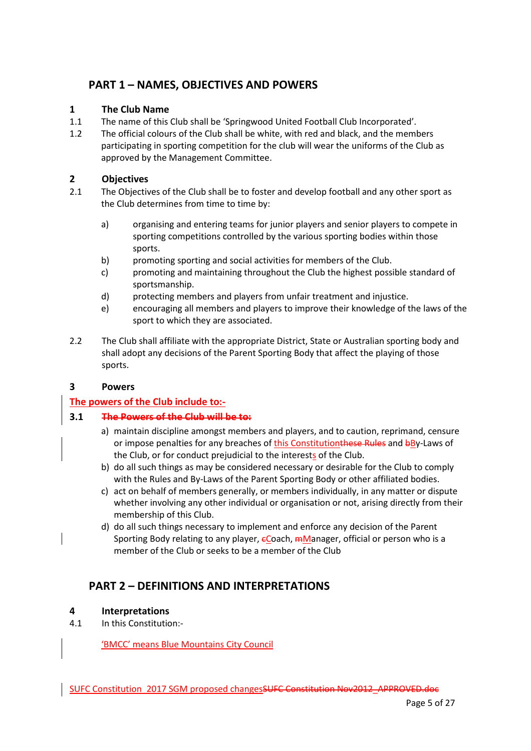# **PART 1 – NAMES, OBJECTIVES AND POWERS**

### **1 The Club Name**

- 1.1 The name of this Club shall be 'Springwood United Football Club Incorporated'.
- 1.2 The official colours of the Club shall be white, with red and black, and the members participating in sporting competition for the club will wear the uniforms of the Club as approved by the Management Committee.

### **2 Objectives**

- 2.1 The Objectives of the Club shall be to foster and develop football and any other sport as the Club determines from time to time by:
	- a) organising and entering teams for junior players and senior players to compete in sporting competitions controlled by the various sporting bodies within those sports.
	- b) promoting sporting and social activities for members of the Club.
	- c) promoting and maintaining throughout the Club the highest possible standard of sportsmanship.
	- d) protecting members and players from unfair treatment and injustice.
	- e) encouraging all members and players to improve their knowledge of the laws of the sport to which they are associated.
- 2.2 The Club shall affiliate with the appropriate District, State or Australian sporting body and shall adopt any decisions of the Parent Sporting Body that affect the playing of those sports.

### **3 Powers**

# **The powers of the Club include to:-**

### **3.1 The Powers of the Club will be to:**

- a) maintain discipline amongst members and players, and to caution, reprimand, censure or impose penalties for any breaches of this Constitutionthese Rules and bBy-Laws of the Club, or for conduct prejudicial to the interests of the Club.
- b) do all such things as may be considered necessary or desirable for the Club to comply with the Rules and By-Laws of the Parent Sporting Body or other affiliated bodies.
- c) act on behalf of members generally, or members individually, in any matter or dispute whether involving any other individual or organisation or not, arising directly from their membership of this Club.
- d) do all such things necessary to implement and enforce any decision of the Parent Sporting Body relating to any player,  $\epsilon$ Coach,  $m$ Manager, official or person who is a member of the Club or seeks to be a member of the Club

# **PART 2 – DEFINITIONS AND INTERPRETATIONS**

### **4 Interpretations**

4.1 In this Constitution:-

'BMCC' means Blue Mountains City Council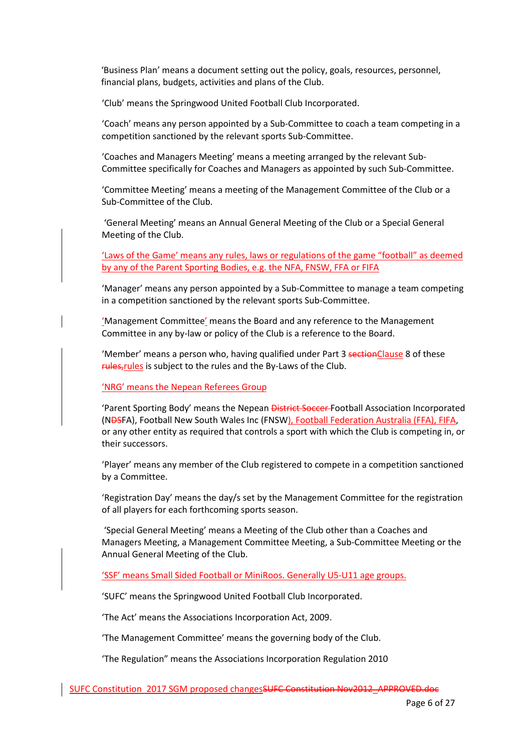'Business Plan' means a document setting out the policy, goals, resources, personnel, financial plans, budgets, activities and plans of the Club.

'Club' means the Springwood United Football Club Incorporated.

'Coach' means any person appointed by a Sub-Committee to coach a team competing in a competition sanctioned by the relevant sports Sub-Committee.

'Coaches and Managers Meeting' means a meeting arranged by the relevant Sub-Committee specifically for Coaches and Managers as appointed by such Sub-Committee.

'Committee Meeting' means a meeting of the Management Committee of the Club or a Sub-Committee of the Club.

 'General Meeting' means an Annual General Meeting of the Club or a Special General Meeting of the Club.

'Laws of the Game' means any rules, laws or regulations of the game "football" as deemed by any of the Parent Sporting Bodies, e.g. the NFA, FNSW, FFA or FIFA

'Manager' means any person appointed by a Sub-Committee to manage a team competing in a competition sanctioned by the relevant sports Sub-Committee.

'Management Committee' means the Board and any reference to the Management Committee in any by-law or policy of the Club is a reference to the Board.

'Member' means a person who, having qualified under Part 3 sectionClause 8 of these rules, rules is subject to the rules and the By-Laws of the Club.

'NRG' means the Nepean Referees Group

'Parent Sporting Body' means the Nepean District Soccer Football Association Incorporated (NDSFA), Football New South Wales Inc (FNSW), Football Federation Australia (FFA), FIFA, or any other entity as required that controls a sport with which the Club is competing in, or their successors.

'Player' means any member of the Club registered to compete in a competition sanctioned by a Committee.

'Registration Day' means the day/s set by the Management Committee for the registration of all players for each forthcoming sports season.

 'Special General Meeting' means a Meeting of the Club other than a Coaches and Managers Meeting, a Management Committee Meeting, a Sub-Committee Meeting or the Annual General Meeting of the Club.

'SSF' means Small Sided Football or MiniRoos. Generally U5-U11 age groups.

'SUFC' means the Springwood United Football Club Incorporated.

'The Act' means the Associations Incorporation Act, 2009.

'The Management Committee' means the governing body of the Club.

'The Regulation" means the Associations Incorporation Regulation 2010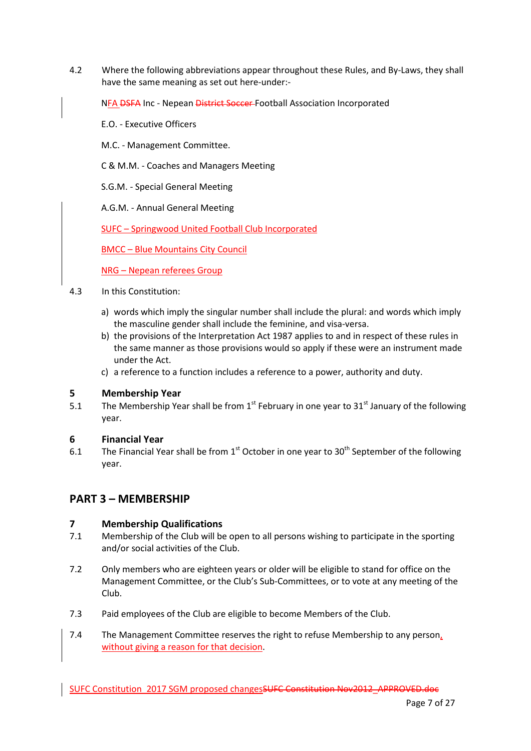4.2 Where the following abbreviations appear throughout these Rules, and By-Laws, they shall have the same meaning as set out here-under:-

NFA DSFA Inc - Nepean District Soccer Football Association Incorporated

- E.O. Executive Officers
- M.C. Management Committee.
- C & M.M. Coaches and Managers Meeting
- S.G.M. Special General Meeting
- A.G.M. Annual General Meeting

SUFC – Springwood United Football Club Incorporated

BMCC – Blue Mountains City Council

NRG – Nepean referees Group

- 4.3 In this Constitution:
	- a) words which imply the singular number shall include the plural: and words which imply the masculine gender shall include the feminine, and visa-versa.
	- b) the provisions of the Interpretation Act 1987 applies to and in respect of these rules in the same manner as those provisions would so apply if these were an instrument made under the Act.
	- c) a reference to a function includes a reference to a power, authority and duty.

#### **5 Membership Year**

5.1 The Membership Year shall be from  $1<sup>st</sup>$  February in one year to 31<sup>st</sup> January of the following year.

### **6 Financial Year**

6.1 The Financial Year shall be from 1<sup>st</sup> October in one year to 30<sup>th</sup> September of the following year.

# **PART 3 – MEMBERSHIP**

#### **7 Membership Qualifications**

- 7.1 Membership of the Club will be open to all persons wishing to participate in the sporting and/or social activities of the Club.
- 7.2 Only members who are eighteen years or older will be eligible to stand for office on the Management Committee, or the Club's Sub-Committees, or to vote at any meeting of the Club.
- 7.3 Paid employees of the Club are eligible to become Members of the Club.
- 7.4 The Management Committee reserves the right to refuse Membership to any person, without giving a reason for that decision.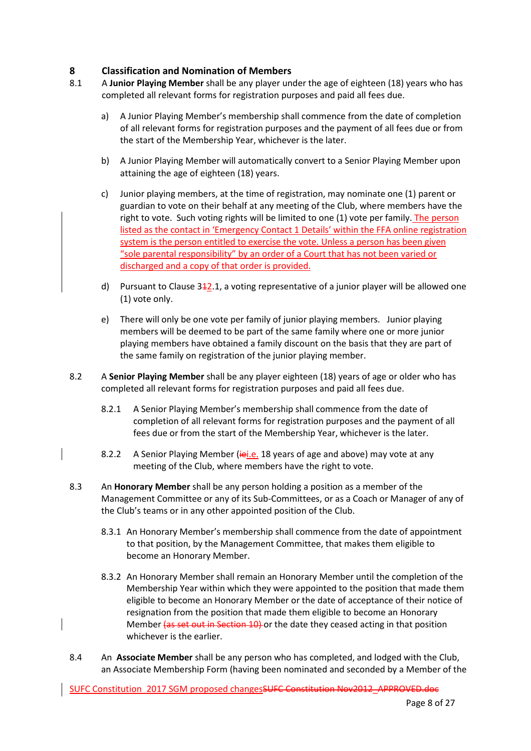## **8 Classification and Nomination of Members**

- 8.1 A **Junior Playing Member** shall be any player under the age of eighteen (18) years who has completed all relevant forms for registration purposes and paid all fees due.
	- a) A Junior Playing Member's membership shall commence from the date of completion of all relevant forms for registration purposes and the payment of all fees due or from the start of the Membership Year, whichever is the later.
	- b) A Junior Playing Member will automatically convert to a Senior Playing Member upon attaining the age of eighteen (18) years.
	- c) Junior playing members, at the time of registration, may nominate one (1) parent or guardian to vote on their behalf at any meeting of the Club, where members have the right to vote. Such voting rights will be limited to one (1) vote per family. The person listed as the contact in 'Emergency Contact 1 Details' within the FFA online registration system is the person entitled to exercise the vote. Unless a person has been given "sole parental responsibility" by an order of a Court that has not been varied or discharged and a copy of that order is provided.
	- d) Pursuant to Clause  $3\frac{1}{2}$ .1, a voting representative of a junior player will be allowed one (1) vote only.
	- e) There will only be one vote per family of junior playing members. Junior playing members will be deemed to be part of the same family where one or more junior playing members have obtained a family discount on the basis that they are part of the same family on registration of the junior playing member.
- 8.2 A **Senior Playing Member** shall be any player eighteen (18) years of age or older who has completed all relevant forms for registration purposes and paid all fees due.
	- 8.2.1 A Senior Playing Member's membership shall commence from the date of completion of all relevant forms for registration purposes and the payment of all fees due or from the start of the Membership Year, whichever is the later.
	- 8.2.2 A Senior Playing Member (iei.e. 18 years of age and above) may vote at any meeting of the Club, where members have the right to vote.
- 8.3 An **Honorary Member** shall be any person holding a position as a member of the Management Committee or any of its Sub-Committees, or as a Coach or Manager of any of the Club's teams or in any other appointed position of the Club.
	- 8.3.1 An Honorary Member's membership shall commence from the date of appointment to that position, by the Management Committee, that makes them eligible to become an Honorary Member.
	- 8.3.2 An Honorary Member shall remain an Honorary Member until the completion of the Membership Year within which they were appointed to the position that made them eligible to become an Honorary Member or the date of acceptance of their notice of resignation from the position that made them eligible to become an Honorary Member (as set out in Section 10) or the date they ceased acting in that position whichever is the earlier.
- 8.4 An **Associate Member** shall be any person who has completed, and lodged with the Club, an Associate Membership Form (having been nominated and seconded by a Member of the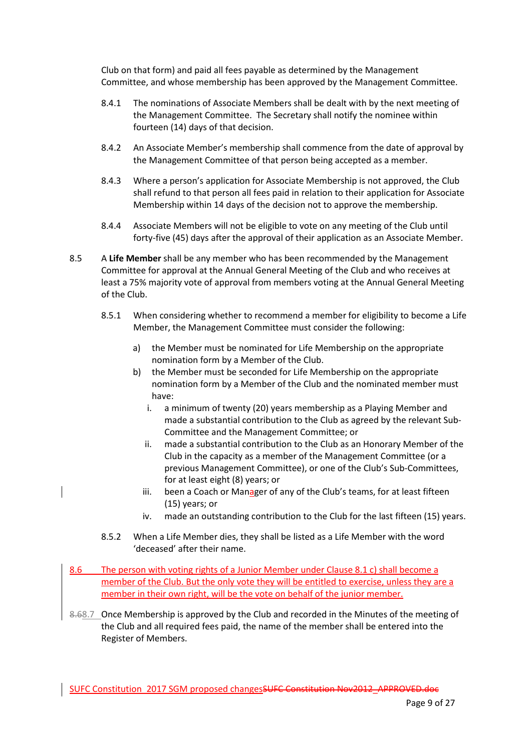Club on that form) and paid all fees payable as determined by the Management Committee, and whose membership has been approved by the Management Committee.

- 8.4.1 The nominations of Associate Members shall be dealt with by the next meeting of the Management Committee. The Secretary shall notify the nominee within fourteen (14) days of that decision.
- 8.4.2 An Associate Member's membership shall commence from the date of approval by the Management Committee of that person being accepted as a member.
- 8.4.3 Where a person's application for Associate Membership is not approved, the Club shall refund to that person all fees paid in relation to their application for Associate Membership within 14 days of the decision not to approve the membership.
- 8.4.4 Associate Members will not be eligible to vote on any meeting of the Club until forty-five (45) days after the approval of their application as an Associate Member.
- 8.5 A **Life Member** shall be any member who has been recommended by the Management Committee for approval at the Annual General Meeting of the Club and who receives at least a 75% majority vote of approval from members voting at the Annual General Meeting of the Club.
	- 8.5.1 When considering whether to recommend a member for eligibility to become a Life Member, the Management Committee must consider the following:
		- a) the Member must be nominated for Life Membership on the appropriate nomination form by a Member of the Club.
		- b) the Member must be seconded for Life Membership on the appropriate nomination form by a Member of the Club and the nominated member must have:
			- i. a minimum of twenty (20) years membership as a Playing Member and made a substantial contribution to the Club as agreed by the relevant Sub-Committee and the Management Committee; or
			- ii. made a substantial contribution to the Club as an Honorary Member of the Club in the capacity as a member of the Management Committee (or a previous Management Committee), or one of the Club's Sub-Committees, for at least eight (8) years; or
			- iii. been a Coach or Manager of any of the Club's teams, for at least fifteen (15) years; or
			- iv. made an outstanding contribution to the Club for the last fifteen (15) years.
	- 8.5.2 When a Life Member dies, they shall be listed as a Life Member with the word 'deceased' after their name.
- 8.6 The person with voting rights of a Junior Member under Clause 8.1 c) shall become a member of the Club. But the only vote they will be entitled to exercise, unless they are a member in their own right, will be the vote on behalf of the junior member.
- 8.68.7 Once Membership is approved by the Club and recorded in the Minutes of the meeting of the Club and all required fees paid, the name of the member shall be entered into the Register of Members.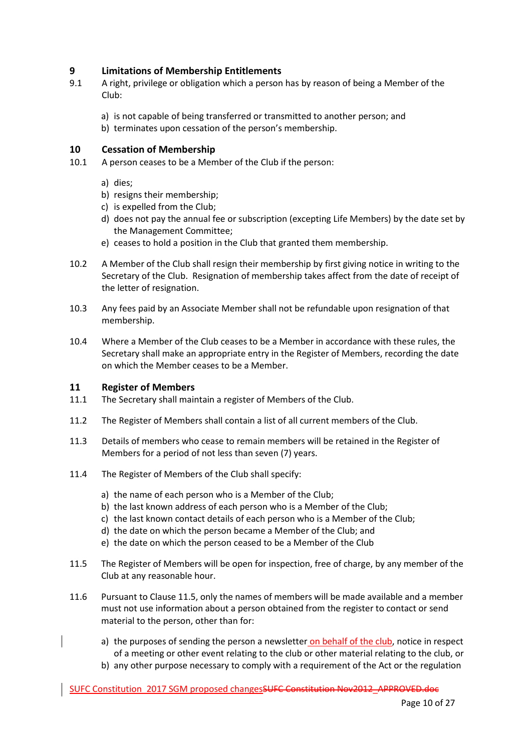### **9 Limitations of Membership Entitlements**

- 9.1 A right, privilege or obligation which a person has by reason of being a Member of the Club:
	- a) is not capable of being transferred or transmitted to another person; and
	- b) terminates upon cessation of the person's membership.

#### **10 Cessation of Membership**

- 10.1 A person ceases to be a Member of the Club if the person:
	- a) dies;
	- b) resigns their membership;
	- c) is expelled from the Club;
	- d) does not pay the annual fee or subscription (excepting Life Members) by the date set by the Management Committee;
	- e) ceases to hold a position in the Club that granted them membership.
- 10.2 A Member of the Club shall resign their membership by first giving notice in writing to the Secretary of the Club. Resignation of membership takes affect from the date of receipt of the letter of resignation.
- 10.3 Any fees paid by an Associate Member shall not be refundable upon resignation of that membership.
- 10.4 Where a Member of the Club ceases to be a Member in accordance with these rules, the Secretary shall make an appropriate entry in the Register of Members, recording the date on which the Member ceases to be a Member.

#### **11 Register of Members**

- 11.1 The Secretary shall maintain a register of Members of the Club.
- 11.2 The Register of Members shall contain a list of all current members of the Club.
- 11.3 Details of members who cease to remain members will be retained in the Register of Members for a period of not less than seven (7) years.
- 11.4 The Register of Members of the Club shall specify:
	- a) the name of each person who is a Member of the Club;
	- b) the last known address of each person who is a Member of the Club;
	- c) the last known contact details of each person who is a Member of the Club;
	- d) the date on which the person became a Member of the Club; and
	- e) the date on which the person ceased to be a Member of the Club
- 11.5 The Register of Members will be open for inspection, free of charge, by any member of the Club at any reasonable hour.
- 11.6 Pursuant to Clause 11.5, only the names of members will be made available and a member must not use information about a person obtained from the register to contact or send material to the person, other than for:
	- a) the purposes of sending the person a newsletter on behalf of the club, notice in respect of a meeting or other event relating to the club or other material relating to the club, or
	- b) any other purpose necessary to comply with a requirement of the Act or the regulation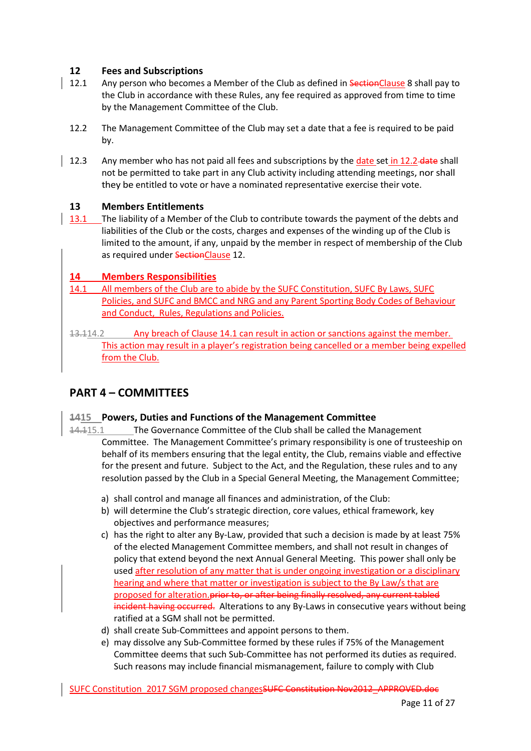## **12 Fees and Subscriptions**

- 12.1 Any person who becomes a Member of the Club as defined in SectionClause 8 shall pay to the Club in accordance with these Rules, any fee required as approved from time to time by the Management Committee of the Club.
- 12.2 The Management Committee of the Club may set a date that a fee is required to be paid by.
- 12.3 Any member who has not paid all fees and subscriptions by the date set in 12.2 date shall not be permitted to take part in any Club activity including attending meetings, nor shall they be entitled to vote or have a nominated representative exercise their vote.

### **13 Members Entitlements**

13.1 The liability of a Member of the Club to contribute towards the payment of the debts and liabilities of the Club or the costs, charges and expenses of the winding up of the Club is limited to the amount, if any, unpaid by the member in respect of membership of the Club as required under SectionClause 12.

## **14 Members Responsibilities**

14.1 All members of the Club are to abide by the SUFC Constitution, SUFC By Laws, SUFC Policies, and SUFC and BMCC and NRG and any Parent Sporting Body Codes of Behaviour and Conduct, Rules, Regulations and Policies.

13.114.2 Any breach of Clause 14.1 can result in action or sanctions against the member. This action may result in a player's registration being cancelled or a member being expelled from the Club.

# **PART 4 – COMMITTEES**

### **1415 Powers, Duties and Functions of the Management Committee**

- 14.115.1 The Governance Committee of the Club shall be called the Management Committee. The Management Committee's primary responsibility is one of trusteeship on behalf of its members ensuring that the legal entity, the Club, remains viable and effective for the present and future. Subject to the Act, and the Regulation, these rules and to any resolution passed by the Club in a Special General Meeting, the Management Committee;
	- a) shall control and manage all finances and administration, of the Club:
	- b) will determine the Club's strategic direction, core values, ethical framework, key objectives and performance measures;
	- c) has the right to alter any By-Law, provided that such a decision is made by at least 75% of the elected Management Committee members, and shall not result in changes of policy that extend beyond the next Annual General Meeting. This power shall only be used after resolution of any matter that is under ongoing investigation or a disciplinary hearing and where that matter or investigation is subject to the By Law/s that are proposed for alteration.prior to, or after being finally resolved, any current tabled incident having occurred. Alterations to any By-Laws in consecutive years without being ratified at a SGM shall not be permitted.
	- d) shall create Sub-Committees and appoint persons to them.
	- e) may dissolve any Sub-Committee formed by these rules if 75% of the Management Committee deems that such Sub-Committee has not performed its duties as required. Such reasons may include financial mismanagement, failure to comply with Club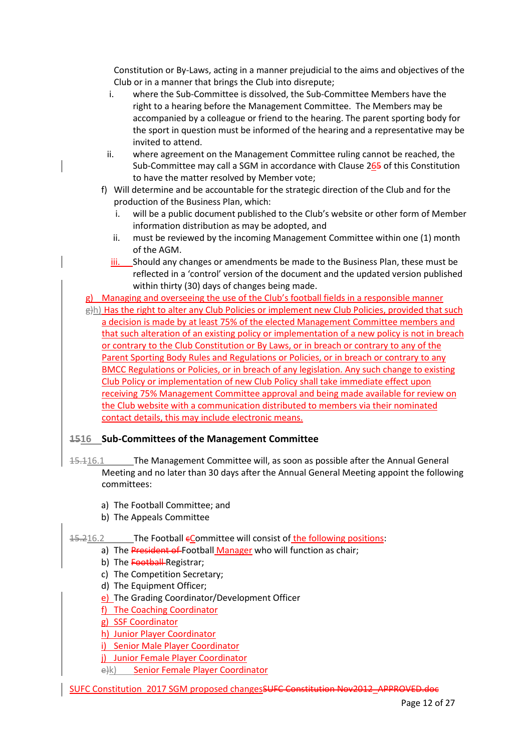Constitution or By-Laws, acting in a manner prejudicial to the aims and objectives of the Club or in a manner that brings the Club into disrepute;

- i. where the Sub-Committee is dissolved, the Sub-Committee Members have the right to a hearing before the Management Committee. The Members may be accompanied by a colleague or friend to the hearing. The parent sporting body for the sport in question must be informed of the hearing and a representative may be invited to attend.
- ii. where agreement on the Management Committee ruling cannot be reached, the Sub-Committee may call a SGM in accordance with Clause 265 of this Constitution to have the matter resolved by Member vote;
- f) Will determine and be accountable for the strategic direction of the Club and for the production of the Business Plan, which:
	- i. will be a public document published to the Club's website or other form of Member information distribution as may be adopted, and
	- ii. must be reviewed by the incoming Management Committee within one (1) month of the AGM.
	- iii. Should any changes or amendments be made to the Business Plan, these must be reflected in a 'control' version of the document and the updated version published within thirty (30) days of changes being made.

g) Managing and overseeing the use of the Club's football fields in a responsible manner

g)h) Has the right to alter any Club Policies or implement new Club Policies, provided that such a decision is made by at least 75% of the elected Management Committee members and that such alteration of an existing policy or implementation of a new policy is not in breach or contrary to the Club Constitution or By Laws, or in breach or contrary to any of the Parent Sporting Body Rules and Regulations or Policies, or in breach or contrary to any BMCC Regulations or Policies, or in breach of any legislation. Any such change to existing Club Policy or implementation of new Club Policy shall take immediate effect upon receiving 75% Management Committee approval and being made available for review on the Club website with a communication distributed to members via their nominated contact details, this may include electronic means.

### **1516 Sub-Committees of the Management Committee**

- 15.116.1 The Management Committee will, as soon as possible after the Annual General Meeting and no later than 30 days after the Annual General Meeting appoint the following committees:
	- a) The Football Committee; and
	- b) The Appeals Committee
- 15.216.2 The Football eCommittee will consist of the following positions:
	- a) The President of Football Manager who will function as chair;
	- b) The Football-Registrar:
	- c) The Competition Secretary;
	- d) The Equipment Officer;
	- e) The Grading Coordinator/Development Officer
	- f) The Coaching Coordinator
	- g) SSF Coordinator
	- h) Junior Player Coordinator
	- i) Senior Male Player Coordinator
	- j) Junior Female Player Coordinator
	- e)k) Senior Female Player Coordinator
- SUFC Constitution 2017 SGM proposed changesSUFC Constitution Nov2012\_APPROVED.doc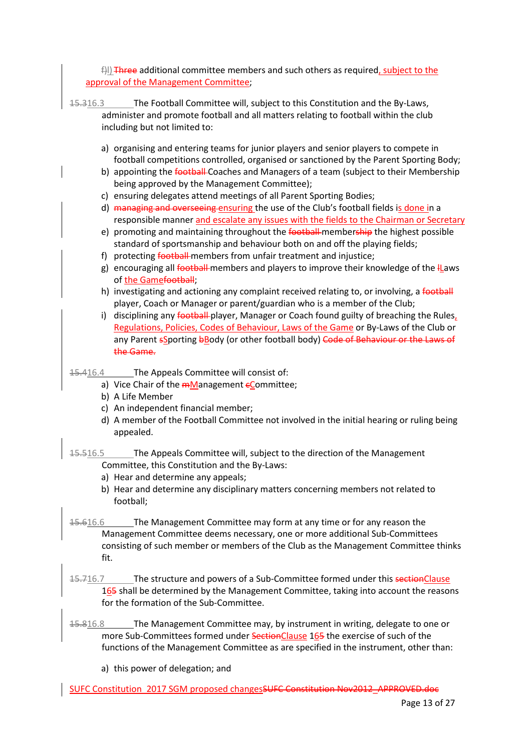$\exists$ )) Three additional committee members and such others as required, subject to the approval of the Management Committee;

- 15.316.3 The Football Committee will, subject to this Constitution and the By-Laws, administer and promote football and all matters relating to football within the club including but not limited to:
	- a) organising and entering teams for junior players and senior players to compete in football competitions controlled, organised or sanctioned by the Parent Sporting Body;
	- b) appointing the football Coaches and Managers of a team (subject to their Membership being approved by the Management Committee);
	- c) ensuring delegates attend meetings of all Parent Sporting Bodies;
	- d) managing and overseeing ensuring the use of the Club's football fields is done in a responsible manner and escalate any issues with the fields to the Chairman or Secretary
	- e) promoting and maintaining throughout the football membership the highest possible standard of sportsmanship and behaviour both on and off the playing fields;
	- f) protecting **football** members from unfair treatment and injustice;
	- g) encouraging all football members and players to improve their knowledge of the llaws of the Gamefootball;
	- h) investigating and actioning any complaint received relating to, or involving, a football player, Coach or Manager or parent/guardian who is a member of the Club;
	- i) disciplining any football player, Manager or Coach found guilty of breaching the Rules, Regulations, Policies, Codes of Behaviour, Laws of the Game or By-Laws of the Club or any Parent sSporting bBody (or other football body) Code of Behaviour or the Laws of the Game.
- 15.416.4 The Appeals Committee will consist of:
	- a) Vice Chair of the  $m$ Management  $\epsilon$ Committee;
	- b) A Life Member
	- c) An independent financial member;
	- d) A member of the Football Committee not involved in the initial hearing or ruling being appealed.
- 15.516.5 The Appeals Committee will, subject to the direction of the Management Committee, this Constitution and the By-Laws:
	- a) Hear and determine any appeals;
	- b) Hear and determine any disciplinary matters concerning members not related to football;
- 15.616.6 The Management Committee may form at any time or for any reason the Management Committee deems necessary, one or more additional Sub-Committees consisting of such member or members of the Club as the Management Committee thinks fit.
- 15.716.7 The structure and powers of a Sub-Committee formed under this sectionClause 165 shall be determined by the Management Committee, taking into account the reasons for the formation of the Sub-Committee.
- 15.816.8 The Management Committee may, by instrument in writing, delegate to one or more Sub-Committees formed under SectionClause 165 the exercise of such of the functions of the Management Committee as are specified in the instrument, other than:
	- a) this power of delegation; and
- SUFC Constitution 2017 SGM proposed changesSUFC Constitution Nov2012\_APPROVED.doc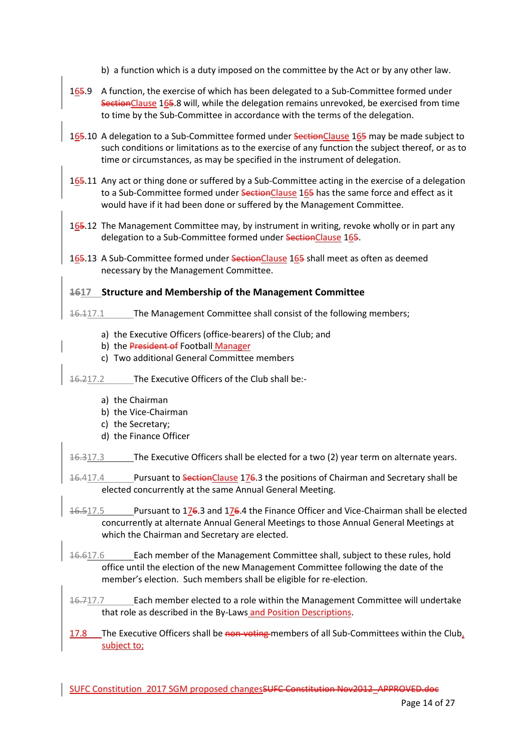b) a function which is a duty imposed on the committee by the Act or by any other law.

- $165.9$  A function, the exercise of which has been delegated to a Sub-Committee formed under SectionClause 165.8 will, while the delegation remains unrevoked, be exercised from time to time by the Sub-Committee in accordance with the terms of the delegation.
- 165.10 A delegation to a Sub-Committee formed under SectionClause 165 may be made subject to such conditions or limitations as to the exercise of any function the subject thereof, or as to time or circumstances, as may be specified in the instrument of delegation.
- 165.11 Any act or thing done or suffered by a Sub-Committee acting in the exercise of a delegation to a Sub-Committee formed under SectionClause 165 has the same force and effect as it would have if it had been done or suffered by the Management Committee.
- 165.12 The Management Committee may, by instrument in writing, revoke wholly or in part any delegation to a Sub-Committee formed under SectionClause 165.

165.13 A Sub-Committee formed under SectionClause 165 shall meet as often as deemed necessary by the Management Committee.

### **1617 Structure and Membership of the Management Committee**

16.117.1 The Management Committee shall consist of the following members;

- a) the Executive Officers (office-bearers) of the Club; and
- b) the President of Football Manager
- c) Two additional General Committee members

16.217.2 The Executive Officers of the Club shall be:-

- a) the Chairman
- b) the Vice-Chairman
- c) the Secretary;
- d) the Finance Officer

16.317.3 The Executive Officers shall be elected for a two (2) year term on alternate years.

- 16.417.4 Pursuant to SectionClause 176.3 the positions of Chairman and Secretary shall be elected concurrently at the same Annual General Meeting.
- 16.517.5 Pursuant to 176.3 and 176.4 the Finance Officer and Vice-Chairman shall be elected concurrently at alternate Annual General Meetings to those Annual General Meetings at which the Chairman and Secretary are elected.
- 16.617.6 Each member of the Management Committee shall, subject to these rules, hold office until the election of the new Management Committee following the date of the member's election. Such members shall be eligible for re-election.
- 16.717.7 Each member elected to a role within the Management Committee will undertake that role as described in the By-Laws and Position Descriptions.
- 17.8 The Executive Officers shall be non-voting members of all Sub-Committees within the Club, subject to;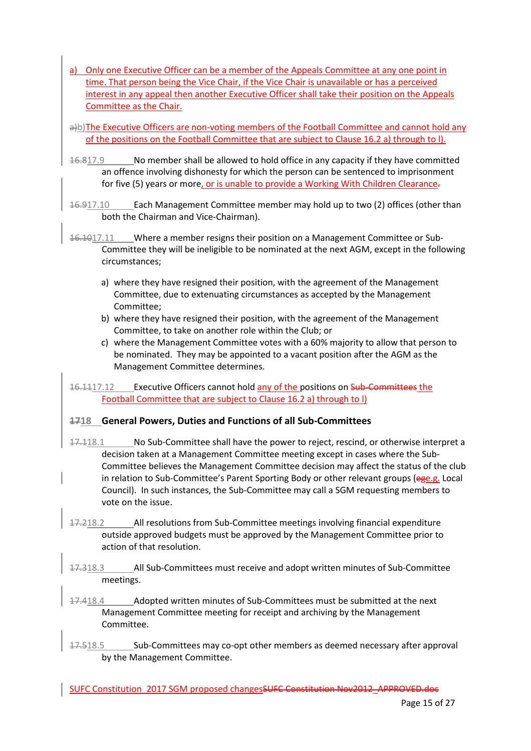- a) Only one Executive Officer can be a member of the Appeals Committee at any one point in time. That person being the Vice Chair, if the Vice Chair is unavailable or has a perceived interest in any appeal then another Executive Officer shall take their position on the Appeals Committee as the Chair.
- a)b)The Executive Officers are non-voting members of the Football Committee and cannot hold any of the positions on the Football Committee that are subject to Clause 16.2 a) through to l).
- 16.817.9 No member shall be allowed to hold office in any capacity if they have committed an offence involving dishonesty for which the person can be sentenced to imprisonment for five (5) years or more, or is unable to provide a Working With Children Clearance.
- 16.917.10 Each Management Committee member may hold up to two (2) offices (other than both the Chairman and Vice-Chairman).
- 16.1017.11 Where a member resigns their position on a Management Committee or Sub-Committee they will be ineligible to be nominated at the next AGM, except in the following circumstances;
	- a) where they have resigned their position, with the agreement of the Management Committee, due to extenuating circumstances as accepted by the Management Committee;
	- b) where they have resigned their position, with the agreement of the Management Committee, to take on another role within the Club; or
	- c) where the Management Committee votes with a 60% majority to allow that person to be nominated. They may be appointed to a vacant position after the AGM as the Management Committee determines.

16.1117.12 Executive Officers cannot hold any of the positions on Sub-Committees the Football Committee that are subject to Clause 16.2 a) through to l)

# **1718 General Powers, Duties and Functions of all Sub-Committees**

- 17.118.1 No Sub-Committee shall have the power to reject, rescind, or otherwise interpret a decision taken at a Management Committee meeting except in cases where the Sub-Committee believes the Management Committee decision may affect the status of the club in relation to Sub-Committee's Parent Sporting Body or other relevant groups (ege.g. Local Council). In such instances, the Sub-Committee may call a SGM requesting members to vote on the issue.
- 17.218.2 All resolutions from Sub-Committee meetings involving financial expenditure outside approved budgets must be approved by the Management Committee prior to action of that resolution.
- 17.318.3 All Sub-Committees must receive and adopt written minutes of Sub-Committee meetings.
- 17.418.4 Adopted written minutes of Sub-Committees must be submitted at the next Management Committee meeting for receipt and archiving by the Management Committee.
- 17.518.5 Sub-Committees may co-opt other members as deemed necessary after approval by the Management Committee.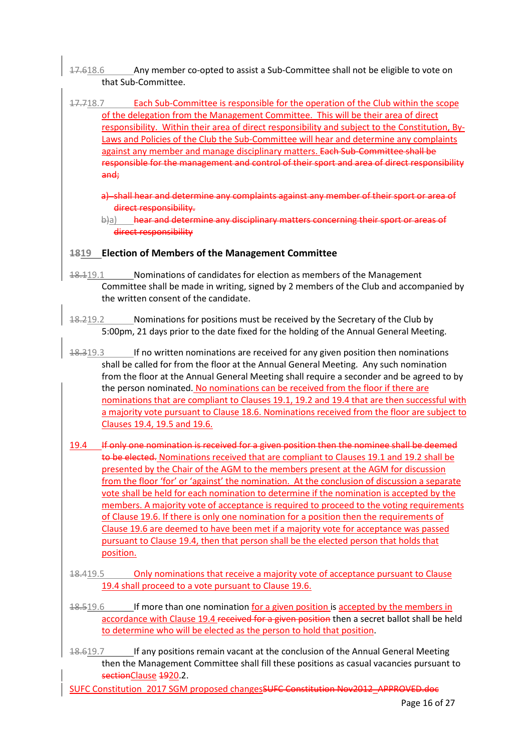- 17.618.6 Any member co-opted to assist a Sub-Committee shall not be eligible to vote on that Sub-Committee.
- 17.718.7 Each Sub-Committee is responsible for the operation of the Club within the scope of the delegation from the Management Committee. This will be their area of direct responsibility. Within their area of direct responsibility and subject to the Constitution, By-Laws and Policies of the Club the Sub-Committee will hear and determine any complaints against any member and manage disciplinary matters. Each Sub-Committee shall be responsible for the management and control of their sport and area of direct responsibility and;
	- a) shall hear and determine any complaints against any member of their sport or area of direct responsibility.
	- b)a) hear and determine any disciplinary matters concerning their sport or areas of direct responsibility

## **1819 Election of Members of the Management Committee**

- 18.119.1 Nominations of candidates for election as members of the Management Committee shall be made in writing, signed by 2 members of the Club and accompanied by the written consent of the candidate.
- 18.219.2 Nominations for positions must be received by the Secretary of the Club by 5:00pm, 21 days prior to the date fixed for the holding of the Annual General Meeting.
- 18.319.3 If no written nominations are received for any given position then nominations shall be called for from the floor at the Annual General Meeting. Any such nomination from the floor at the Annual General Meeting shall require a seconder and be agreed to by the person nominated. No nominations can be received from the floor if there are nominations that are compliant to Clauses 19.1, 19.2 and 19.4 that are then successful with a majority vote pursuant to Clause 18.6. Nominations received from the floor are subject to Clauses 19.4, 19.5 and 19.6.
- 19.4 If only one nomination is received for a given position then the nominee shall be deemed to be elected. Nominations received that are compliant to Clauses 19.1 and 19.2 shall be presented by the Chair of the AGM to the members present at the AGM for discussion from the floor 'for' or 'against' the nomination. At the conclusion of discussion a separate vote shall be held for each nomination to determine if the nomination is accepted by the members. A majority vote of acceptance is required to proceed to the voting requirements of Clause 19.6. If there is only one nomination for a position then the requirements of Clause 19.6 are deemed to have been met if a majority vote for acceptance was passed pursuant to Clause 19.4, then that person shall be the elected person that holds that position.
- 18.419.5 Only nominations that receive a majority vote of acceptance pursuant to Clause 19.4 shall proceed to a vote pursuant to Clause 19.6.
- 18.519.6 If more than one nomination for a given position is accepted by the members in accordance with Clause 19.4 received for a given position then a secret ballot shall be held to determine who will be elected as the person to hold that position.
- 18.619.7 If any positions remain vacant at the conclusion of the Annual General Meeting then the Management Committee shall fill these positions as casual vacancies pursuant to sectionClause 1920.2.
- SUFC Constitution 2017 SGM proposed changesSUFC Constitution Nov2012\_APPROVED.doc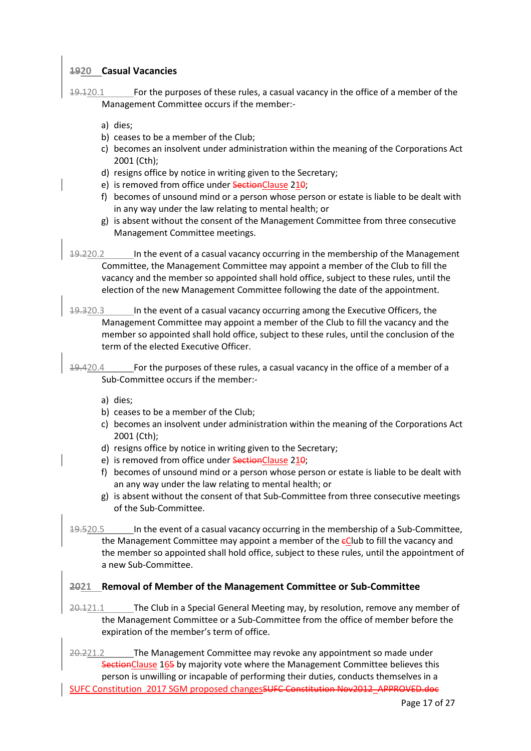### **1920 Casual Vacancies**

19.120.1 For the purposes of these rules, a casual vacancy in the office of a member of the Management Committee occurs if the member:-

- a) dies;
- b) ceases to be a member of the Club;
- c) becomes an insolvent under administration within the meaning of the Corporations Act 2001 (Cth);
- d) resigns office by notice in writing given to the Secretary;
- e) is removed from office under SectionClause 210:
- f) becomes of unsound mind or a person whose person or estate is liable to be dealt with in any way under the law relating to mental health; or
- g) is absent without the consent of the Management Committee from three consecutive Management Committee meetings.
- 19.220.2 In the event of a casual vacancy occurring in the membership of the Management Committee, the Management Committee may appoint a member of the Club to fill the vacancy and the member so appointed shall hold office, subject to these rules, until the election of the new Management Committee following the date of the appointment.
- 19.320.3 In the event of a casual vacancy occurring among the Executive Officers, the Management Committee may appoint a member of the Club to fill the vacancy and the member so appointed shall hold office, subject to these rules, until the conclusion of the term of the elected Executive Officer.
- 19.420.4 For the purposes of these rules, a casual vacancy in the office of a member of a Sub-Committee occurs if the member:
	- a) dies;
	- b) ceases to be a member of the Club;
	- c) becomes an insolvent under administration within the meaning of the Corporations Act 2001 (Cth);
	- d) resigns office by notice in writing given to the Secretary;
	- e) is removed from office under SectionClause 210;
	- f) becomes of unsound mind or a person whose person or estate is liable to be dealt with an any way under the law relating to mental health; or
	- g) is absent without the consent of that Sub-Committee from three consecutive meetings of the Sub-Committee.
- 19.520.5 In the event of a casual vacancy occurring in the membership of a Sub-Committee, the Management Committee may appoint a member of the  $\epsilon$ Club to fill the vacancy and the member so appointed shall hold office, subject to these rules, until the appointment of a new Sub-Committee.

### **2021 Removal of Member of the Management Committee or Sub-Committee**

 $20.121.1$  The Club in a Special General Meeting may, by resolution, remove any member of the Management Committee or a Sub-Committee from the office of member before the expiration of the member's term of office.

SUFC Constitution 2017 SGM proposed changesSUFC Constitution Nov2012\_APPROVED.doc 20.221.2 The Management Committee may revoke any appointment so made under SectionClause 165 by majority vote where the Management Committee believes this person is unwilling or incapable of performing their duties, conducts themselves in a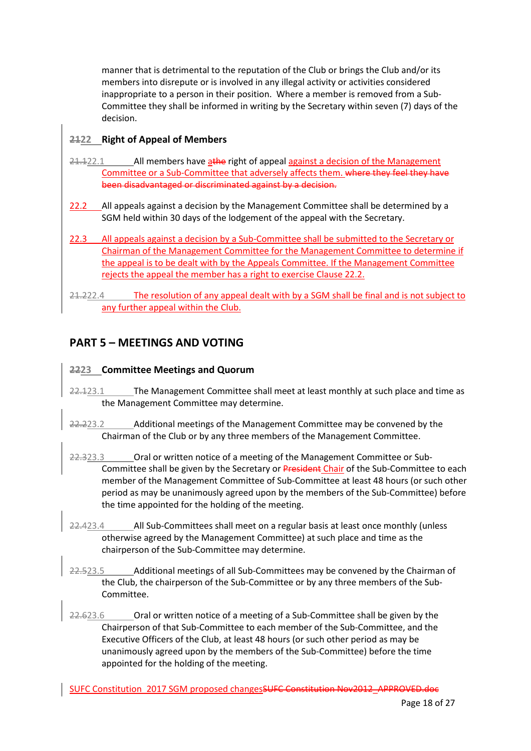manner that is detrimental to the reputation of the Club or brings the Club and/or its members into disrepute or is involved in any illegal activity or activities considered inappropriate to a person in their position. Where a member is removed from a Sub-Committee they shall be informed in writing by the Secretary within seven (7) days of the decision.

# **2122 Right of Appeal of Members**

- $21.122.1$  All members have athe right of appeal against a decision of the Management Committee or a Sub-Committee that adversely affects them. where they feel they have been disadvantaged or discriminated against by a decision.
- 22.2 All appeals against a decision by the Management Committee shall be determined by a SGM held within 30 days of the lodgement of the appeal with the Secretary.
- 22.3 All appeals against a decision by a Sub-Committee shall be submitted to the Secretary or Chairman of the Management Committee for the Management Committee to determine if the appeal is to be dealt with by the Appeals Committee. If the Management Committee rejects the appeal the member has a right to exercise Clause 22.2.
- 21.222.4 The resolution of any appeal dealt with by a SGM shall be final and is not subject to any further appeal within the Club.

# **PART 5 – MEETINGS AND VOTING**

## **2223 Committee Meetings and Quorum**

- 22.123.1 The Management Committee shall meet at least monthly at such place and time as the Management Committee may determine.
- 22.223.2 Additional meetings of the Management Committee may be convened by the Chairman of the Club or by any three members of the Management Committee.
- 22.323.3 Oral or written notice of a meeting of the Management Committee or Sub-Committee shall be given by the Secretary or President Chair of the Sub-Committee to each member of the Management Committee of Sub-Committee at least 48 hours (or such other period as may be unanimously agreed upon by the members of the Sub-Committee) before the time appointed for the holding of the meeting.
- 22.423.4 All Sub-Committees shall meet on a regular basis at least once monthly (unless otherwise agreed by the Management Committee) at such place and time as the chairperson of the Sub-Committee may determine.
- 22.523.5 Additional meetings of all Sub-Committees may be convened by the Chairman of the Club, the chairperson of the Sub-Committee or by any three members of the Sub-Committee.
- 22.623.6 Oral or written notice of a meeting of a Sub-Committee shall be given by the Chairperson of that Sub-Committee to each member of the Sub-Committee, and the Executive Officers of the Club, at least 48 hours (or such other period as may be unanimously agreed upon by the members of the Sub-Committee) before the time appointed for the holding of the meeting.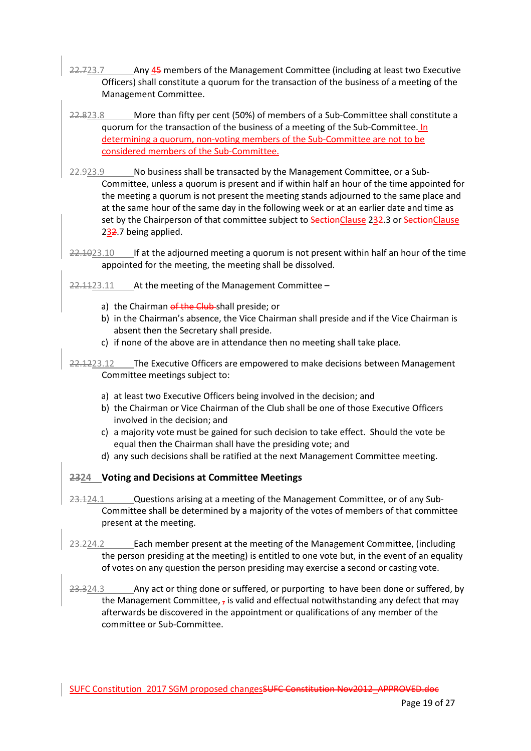- 22.723.7 Any 45 members of the Management Committee (including at least two Executive Officers) shall constitute a quorum for the transaction of the business of a meeting of the Management Committee.
- 22.823.8 More than fifty per cent (50%) of members of a Sub-Committee shall constitute a quorum for the transaction of the business of a meeting of the Sub-Committee. In determining a quorum, non-voting members of the Sub-Committee are not to be considered members of the Sub-Committee.
- 22.923.9 No business shall be transacted by the Management Committee, or a Sub-Committee, unless a quorum is present and if within half an hour of the time appointed for the meeting a quorum is not present the meeting stands adjourned to the same place and at the same hour of the same day in the following week or at an earlier date and time as set by the Chairperson of that committee subject to SectionClause 232.3 or SectionClause 232.7 being applied.
- 22.1023.10 If at the adjourned meeting a quorum is not present within half an hour of the time appointed for the meeting, the meeting shall be dissolved.
- 22.1123.11 At the meeting of the Management Committee
	- a) the Chairman of the Club-shall preside; or
	- b) in the Chairman's absence, the Vice Chairman shall preside and if the Vice Chairman is absent then the Secretary shall preside.
	- c) if none of the above are in attendance then no meeting shall take place.
- 22.1223.12 The Executive Officers are empowered to make decisions between Management Committee meetings subject to:
	- a) at least two Executive Officers being involved in the decision; and
	- b) the Chairman or Vice Chairman of the Club shall be one of those Executive Officers involved in the decision; and
	- c) a majority vote must be gained for such decision to take effect. Should the vote be equal then the Chairman shall have the presiding vote; and
	- d) any such decisions shall be ratified at the next Management Committee meeting.

### **2324 Voting and Decisions at Committee Meetings**

- 23.124.1 Questions arising at a meeting of the Management Committee, or of any Sub-Committee shall be determined by a majority of the votes of members of that committee present at the meeting.
- 23.224.2 Each member present at the meeting of the Management Committee, (including the person presiding at the meeting) is entitled to one vote but, in the event of an equality of votes on any question the person presiding may exercise a second or casting vote.
- 23.324.3 Any act or thing done or suffered, or purporting to have been done or suffered, by the Management Committee,  $\frac{1}{4}$  is valid and effectual notwithstanding any defect that may afterwards be discovered in the appointment or qualifications of any member of the committee or Sub-Committee.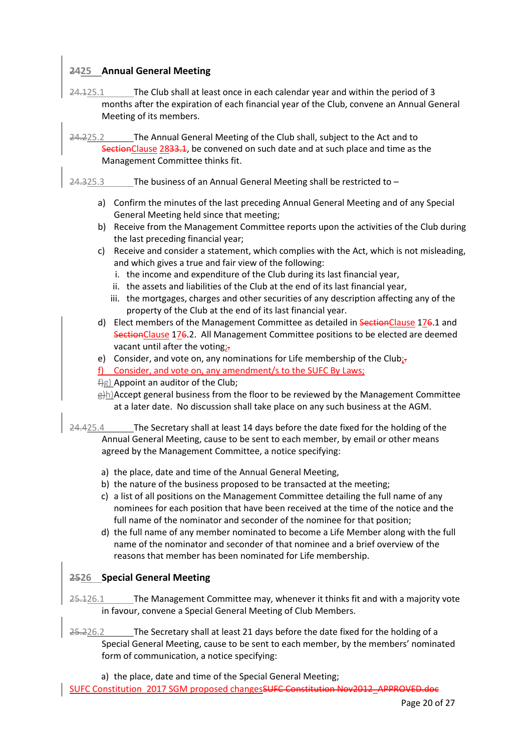# **2425 Annual General Meeting**

24.125.1 The Club shall at least once in each calendar year and within the period of 3 months after the expiration of each financial year of the Club, convene an Annual General Meeting of its members.

24.225.2 The Annual General Meeting of the Club shall, subject to the Act and to SectionClause 2833.1, be convened on such date and at such place and time as the Management Committee thinks fit.

- $24.325.3$  The business of an Annual General Meeting shall be restricted to  $$ 
	- a) Confirm the minutes of the last preceding Annual General Meeting and of any Special General Meeting held since that meeting;
	- b) Receive from the Management Committee reports upon the activities of the Club during the last preceding financial year;
	- c) Receive and consider a statement, which complies with the Act, which is not misleading, and which gives a true and fair view of the following:
		- i. the income and expenditure of the Club during its last financial year,
		- ii. the assets and liabilities of the Club at the end of its last financial year,
		- iii. the mortgages, charges and other securities of any description affecting any of the property of the Club at the end of its last financial year.
	- d) Elect members of the Management Committee as detailed in SectionClause 176.1 and SectionClause 176.2. All Management Committee positions to be elected are deemed vacant until after the voting;-
	- e) Consider, and vote on, any nominations for Life membership of the Club<sub>i</sub>.
	- f) Consider, and vote on, any amendment/s to the SUFC By Laws;
	- $\frac{f}{g}$ ) Appoint an auditor of the Club;
	- $\frac{g(h)}{h}$ Accept general business from the floor to be reviewed by the Management Committee at a later date. No discussion shall take place on any such business at the AGM.
- 24.425.4 The Secretary shall at least 14 days before the date fixed for the holding of the Annual General Meeting, cause to be sent to each member, by email or other means agreed by the Management Committee, a notice specifying:
	- a) the place, date and time of the Annual General Meeting,
	- b) the nature of the business proposed to be transacted at the meeting;
	- c) a list of all positions on the Management Committee detailing the full name of any nominees for each position that have been received at the time of the notice and the full name of the nominator and seconder of the nominee for that position;
	- d) the full name of any member nominated to become a Life Member along with the full name of the nominator and seconder of that nominee and a brief overview of the reasons that member has been nominated for Life membership.

### **2526 Special General Meeting**

- 25.126.1 The Management Committee may, whenever it thinks fit and with a majority vote in favour, convene a Special General Meeting of Club Members.
- 25.226.2 The Secretary shall at least 21 days before the date fixed for the holding of a Special General Meeting, cause to be sent to each member, by the members' nominated form of communication, a notice specifying:
	- a) the place, date and time of the Special General Meeting;
- SUFC Constitution 2017 SGM proposed changesSUFC Constitution Nov2012\_APPROVED.doc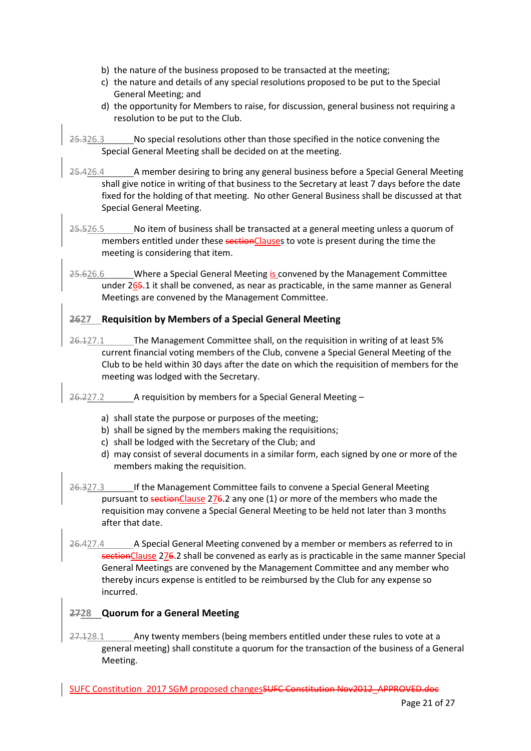- b) the nature of the business proposed to be transacted at the meeting;
- c) the nature and details of any special resolutions proposed to be put to the Special General Meeting; and
- d) the opportunity for Members to raise, for discussion, general business not requiring a resolution to be put to the Club.
- 25.326.3 No special resolutions other than those specified in the notice convening the Special General Meeting shall be decided on at the meeting.
- 25.426.4 A member desiring to bring any general business before a Special General Meeting shall give notice in writing of that business to the Secretary at least 7 days before the date fixed for the holding of that meeting. No other General Business shall be discussed at that Special General Meeting.
- 25.526.5 No item of business shall be transacted at a general meeting unless a quorum of members entitled under these sectionClauses to vote is present during the time the meeting is considering that item.
- 25.626.6 Where a Special General Meeting is convened by the Management Committee under 265.1 it shall be convened, as near as practicable, in the same manner as General Meetings are convened by the Management Committee.

# **2627 Requisition by Members of a Special General Meeting**

- 26.127.1 The Management Committee shall, on the requisition in writing of at least 5% current financial voting members of the Club, convene a Special General Meeting of the Club to be held within 30 days after the date on which the requisition of members for the meeting was lodged with the Secretary.
- $26.227.2$  A requisition by members for a Special General Meeting
	- a) shall state the purpose or purposes of the meeting;
	- b) shall be signed by the members making the requisitions;
	- c) shall be lodged with the Secretary of the Club; and
	- d) may consist of several documents in a similar form, each signed by one or more of the members making the requisition.
- 26.327.3 If the Management Committee fails to convene a Special General Meeting pursuant to sectionClause 276.2 any one (1) or more of the members who made the requisition may convene a Special General Meeting to be held not later than 3 months after that date.
- 26.427.4 A Special General Meeting convened by a member or members as referred to in sectionClause 276.2 shall be convened as early as is practicable in the same manner Special General Meetings are convened by the Management Committee and any member who thereby incurs expense is entitled to be reimbursed by the Club for any expense so incurred.

# **2728 Quorum for a General Meeting**

27.128.1 Any twenty members (being members entitled under these rules to vote at a general meeting) shall constitute a quorum for the transaction of the business of a General Meeting.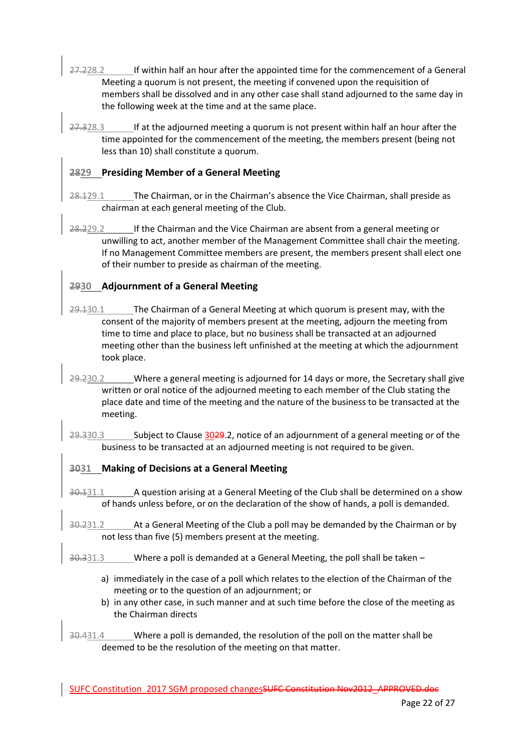- 27.228.2 If within half an hour after the appointed time for the commencement of a General Meeting a quorum is not present, the meeting if convened upon the requisition of members shall be dissolved and in any other case shall stand adjourned to the same day in the following week at the time and at the same place.
- 27.328.3 If at the adjourned meeting a quorum is not present within half an hour after the time appointed for the commencement of the meeting, the members present (being not less than 10) shall constitute a quorum.

# **2829 Presiding Member of a General Meeting**

- 28.129.1 The Chairman, or in the Chairman's absence the Vice Chairman, shall preside as chairman at each general meeting of the Club.
- 28.229.2 If the Chairman and the Vice Chairman are absent from a general meeting or unwilling to act, another member of the Management Committee shall chair the meeting. If no Management Committee members are present, the members present shall elect one of their number to preside as chairman of the meeting.

# **2930 Adjournment of a General Meeting**

- 29.130.1 The Chairman of a General Meeting at which quorum is present may, with the consent of the majority of members present at the meeting, adjourn the meeting from time to time and place to place, but no business shall be transacted at an adjourned meeting other than the business left unfinished at the meeting at which the adjournment took place.
- 29.230.2 Where a general meeting is adjourned for 14 days or more, the Secretary shall give written or oral notice of the adjourned meeting to each member of the Club stating the place date and time of the meeting and the nature of the business to be transacted at the meeting.
- 29.330.3 Subject to Clause 3029.2, notice of an adjournment of a general meeting or of the business to be transacted at an adjourned meeting is not required to be given.

# **3031 Making of Decisions at a General Meeting**

- 30.131.1 A question arising at a General Meeting of the Club shall be determined on a show of hands unless before, or on the declaration of the show of hands, a poll is demanded.
- 30.231.2 At a General Meeting of the Club a poll may be demanded by the Chairman or by not less than five (5) members present at the meeting.
- $30.331.3$  Where a poll is demanded at a General Meeting, the poll shall be taken
	- a) immediately in the case of a poll which relates to the election of the Chairman of the meeting or to the question of an adjournment; or
	- b) in any other case, in such manner and at such time before the close of the meeting as the Chairman directs
- 30.431.4 Where a poll is demanded, the resolution of the poll on the matter shall be deemed to be the resolution of the meeting on that matter.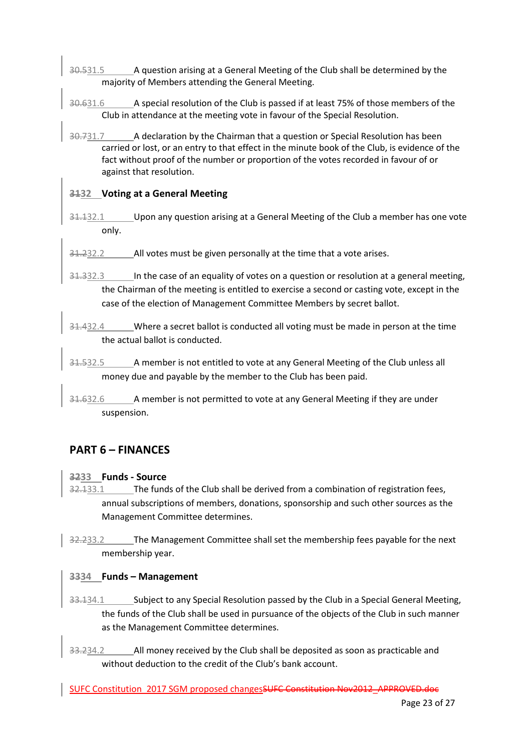- 30.531.5 A question arising at a General Meeting of the Club shall be determined by the majority of Members attending the General Meeting.
- 30.631.6 A special resolution of the Club is passed if at least 75% of those members of the Club in attendance at the meeting vote in favour of the Special Resolution.
- 30.731.7 A declaration by the Chairman that a question or Special Resolution has been carried or lost, or an entry to that effect in the minute book of the Club, is evidence of the fact without proof of the number or proportion of the votes recorded in favour of or against that resolution.

## **3132 Voting at a General Meeting**

- 31.132.1 Upon any question arising at a General Meeting of the Club a member has one vote only.
- 31.232.2 All votes must be given personally at the time that a vote arises.
- 31.332.3 In the case of an equality of votes on a question or resolution at a general meeting, the Chairman of the meeting is entitled to exercise a second or casting vote, except in the case of the election of Management Committee Members by secret ballot.
- 31.432.4 Where a secret ballot is conducted all voting must be made in person at the time the actual ballot is conducted.
- 31.532.5 A member is not entitled to vote at any General Meeting of the Club unless all money due and payable by the member to the Club has been paid.
- 31.632.6 A member is not permitted to vote at any General Meeting if they are under suspension.

# **PART 6 – FINANCES**

### **3233 Funds - Source**

- 32.133.1 The funds of the Club shall be derived from a combination of registration fees, annual subscriptions of members, donations, sponsorship and such other sources as the Management Committee determines.
- 32.233.2 The Management Committee shall set the membership fees payable for the next membership year.

### **3334 Funds – Management**

- 33.134.1 Subject to any Special Resolution passed by the Club in a Special General Meeting, the funds of the Club shall be used in pursuance of the objects of the Club in such manner as the Management Committee determines.
- 33.234.2 All money received by the Club shall be deposited as soon as practicable and without deduction to the credit of the Club's bank account.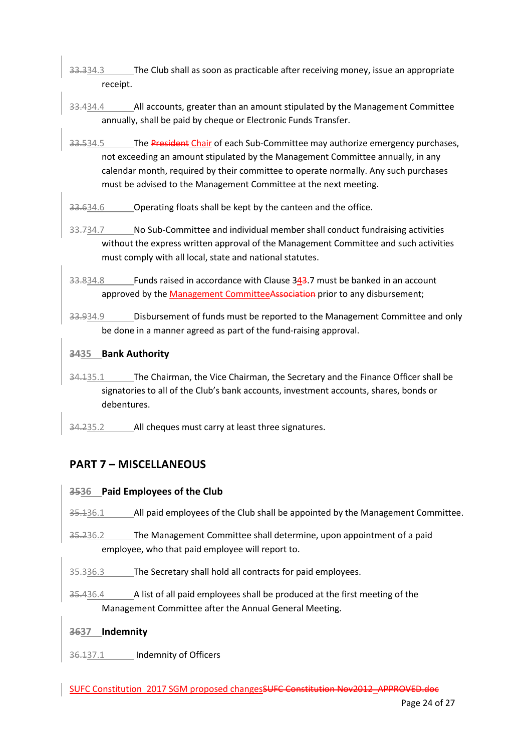- 33.334.3 The Club shall as soon as practicable after receiving money, issue an appropriate receipt.
- 33.434.4 All accounts, greater than an amount stipulated by the Management Committee annually, shall be paid by cheque or Electronic Funds Transfer.
- 33.534.5 The President Chair of each Sub-Committee may authorize emergency purchases, not exceeding an amount stipulated by the Management Committee annually, in any calendar month, required by their committee to operate normally. Any such purchases must be advised to the Management Committee at the next meeting.
- 33.634.6 Operating floats shall be kept by the canteen and the office.
- 33.734.7 No Sub-Committee and individual member shall conduct fundraising activities without the express written approval of the Management Committee and such activities must comply with all local, state and national statutes.
- 33.834.8 Funds raised in accordance with Clause 343.7 must be banked in an account approved by the Management CommitteeAssociation prior to any disbursement;
- 33.934.9 Disbursement of funds must be reported to the Management Committee and only be done in a manner agreed as part of the fund-raising approval.

## **3435 Bank Authority**

- 34.135.1 The Chairman, the Vice Chairman, the Secretary and the Finance Officer shall be signatories to all of the Club's bank accounts, investment accounts, shares, bonds or debentures.
- 34.235.2 All cheques must carry at least three signatures.

# **PART 7 – MISCELLANEOUS**

# **3536 Paid Employees of the Club**

35.136.1 All paid employees of the Club shall be appointed by the Management Committee.

- 35.236.2 The Management Committee shall determine, upon appointment of a paid employee, who that paid employee will report to.
- 35.336.3 The Secretary shall hold all contracts for paid employees.
- 35.436.4 A list of all paid employees shall be produced at the first meeting of the Management Committee after the Annual General Meeting.

# **3637 Indemnity**

36.137.1 \_\_ Indemnity of Officers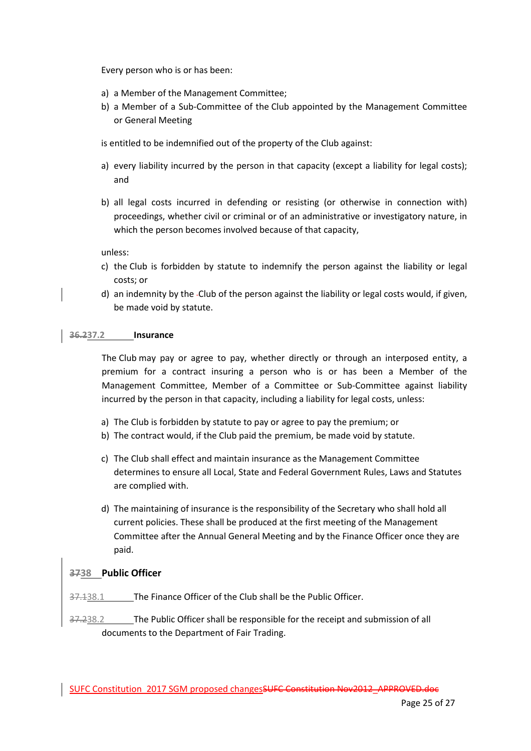Every person who is or has been:

- a) a Member of the Management Committee;
- b) a Member of a Sub-Committee of the Club appointed by the Management Committee or General Meeting

is entitled to be indemnified out of the property of the Club against:

- a) every liability incurred by the person in that capacity (except a liability for legal costs); and
- b) all legal costs incurred in defending or resisting (or otherwise in connection with) proceedings, whether civil or criminal or of an administrative or investigatory nature, in which the person becomes involved because of that capacity,

unless:

- c) the Club is forbidden by statute to indemnify the person against the liability or legal costs; or
- d) an indemnity by the Club of the person against the liability or legal costs would, if given, be made void by statute.

#### **36.237.2 Insurance**

The Club may pay or agree to pay, whether directly or through an interposed entity, a premium for a contract insuring a person who is or has been a Member of the Management Committee, Member of a Committee or Sub-Committee against liability incurred by the person in that capacity, including a liability for legal costs, unless:

- a) The Club is forbidden by statute to pay or agree to pay the premium; or
- b) The contract would, if the Club paid the premium, be made void by statute.
- c) The Club shall effect and maintain insurance as the Management Committee determines to ensure all Local, State and Federal Government Rules, Laws and Statutes are complied with.
- d) The maintaining of insurance is the responsibility of the Secretary who shall hold all current policies. These shall be produced at the first meeting of the Management Committee after the Annual General Meeting and by the Finance Officer once they are paid.

#### **3738 Public Officer**

The Finance Officer of the Club shall be the Public Officer.

37.238.2 The Public Officer shall be responsible for the receipt and submission of all documents to the Department of Fair Trading.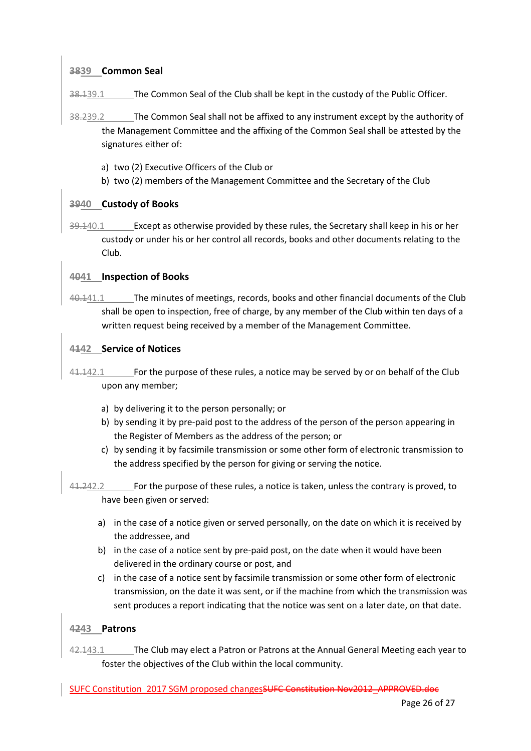### **3839 Common Seal**

The Common Seal of the Club shall be kept in the custody of the Public Officer.

- 38.239.2 The Common Seal shall not be affixed to any instrument except by the authority of the Management Committee and the affixing of the Common Seal shall be attested by the signatures either of:
	- a) two (2) Executive Officers of the Club or
	- b) two (2) members of the Management Committee and the Secretary of the Club

# **3940 Custody of Books**

39.140.1 Except as otherwise provided by these rules, the Secretary shall keep in his or her custody or under his or her control all records, books and other documents relating to the Club.

# **4041 Inspection of Books**

40.141.1 The minutes of meetings, records, books and other financial documents of the Club shall be open to inspection, free of charge, by any member of the Club within ten days of a written request being received by a member of the Management Committee.

# **4142 Service of Notices**

- 41.142.1 For the purpose of these rules, a notice may be served by or on behalf of the Club upon any member;
	- a) by delivering it to the person personally; or
	- b) by sending it by pre-paid post to the address of the person of the person appearing in the Register of Members as the address of the person; or
	- c) by sending it by facsimile transmission or some other form of electronic transmission to the address specified by the person for giving or serving the notice.
- 41.242.2 For the purpose of these rules, a notice is taken, unless the contrary is proved, to have been given or served:
	- a) in the case of a notice given or served personally, on the date on which it is received by the addressee, and
	- b) in the case of a notice sent by pre-paid post, on the date when it would have been delivered in the ordinary course or post, and
	- c) in the case of a notice sent by facsimile transmission or some other form of electronic transmission, on the date it was sent, or if the machine from which the transmission was sent produces a report indicating that the notice was sent on a later date, on that date.

# **4243 Patrons**

42.143.1 The Club may elect a Patron or Patrons at the Annual General Meeting each year to foster the objectives of the Club within the local community.